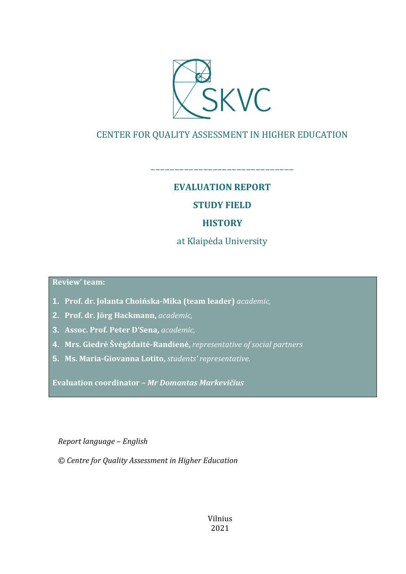

## CENTER FOR QUALITY ASSESSMENT IN HIGHER EDUCATION

**EVALUATION REPORT**

––––––––––––––––––––––––––––––

## **STUDY FIELD**

## **HISTORY**

at Klaipėda University

**Review' team:** 

- **1. Prof. dr. Jolanta Choińska-Mika (team leader)** *academic,*
- **2. Prof. dr. Jörg Hackmann,** *academic,*
- **3. Assoc. Prof. Peter D'Sena,** *academic,*
- **4. Mrs. Giedrė Švėgždaitė-Randienė,** *representative of social partners*
- **5. Ms. Maria-Giovanna Lotito,** *students' representative.*

**Evaluation coordinator –** *Mr Domantas Markevičius*

*Report language – English*

*© Centre for Quality Assessment in Higher Education*

Vilnius 2021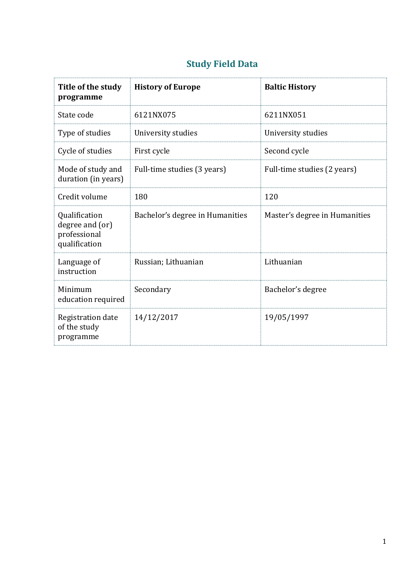| Title of the study<br>programme                                   | <b>History of Europe</b>        | <b>Baltic History</b>         |
|-------------------------------------------------------------------|---------------------------------|-------------------------------|
| State code                                                        | 6121NX075                       | 6211NX051                     |
| Type of studies                                                   | University studies              | University studies            |
| Cycle of studies                                                  | First cycle                     | Second cycle                  |
| Mode of study and<br>duration (in years)                          | Full-time studies (3 years)     | Full-time studies (2 years)   |
| Credit volume                                                     | 180                             | 120                           |
| Qualification<br>degree and (or)<br>professional<br>qualification | Bachelor's degree in Humanities | Master's degree in Humanities |
| Language of<br>instruction                                        | Russian; Lithuanian             | Lithuanian                    |
| Minimum<br>education required                                     | Secondary                       | Bachelor's degree             |
| Registration date<br>of the study<br>programme                    | 14/12/2017                      | 19/05/1997                    |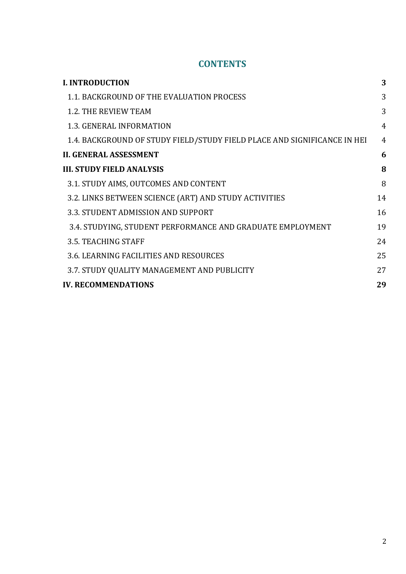## **CONTENTS**

| <b>I. INTRODUCTION</b>                                                   | 3              |
|--------------------------------------------------------------------------|----------------|
| 1.1. BACKGROUND OF THE EVALUATION PROCESS                                | 3              |
| <b>1.2. THE REVIEW TEAM</b>                                              | 3              |
| <b>1.3. GENERAL INFORMATION</b>                                          | $\overline{4}$ |
| 1.4. BACKGROUND OF STUDY FIELD/STUDY FIELD PLACE AND SIGNIFICANCE IN HEI | $\overline{4}$ |
| <b>II. GENERAL ASSESSMENT</b>                                            | 6              |
| <b>III. STUDY FIELD ANALYSIS</b>                                         | 8              |
| 3.1. STUDY AIMS, OUTCOMES AND CONTENT                                    | 8              |
| 3.2. LINKS BETWEEN SCIENCE (ART) AND STUDY ACTIVITIES                    | 14             |
| 3.3. STUDENT ADMISSION AND SUPPORT                                       | 16             |
| 3.4. STUDYING, STUDENT PERFORMANCE AND GRADUATE EMPLOYMENT               | 19             |
| 3.5. TEACHING STAFF                                                      | 24             |
| 3.6. LEARNING FACILITIES AND RESOURCES                                   | 25             |
| 3.7. STUDY QUALITY MANAGEMENT AND PUBLICITY                              | 27             |
| <b>IV. RECOMMENDATIONS</b>                                               | 29             |
|                                                                          |                |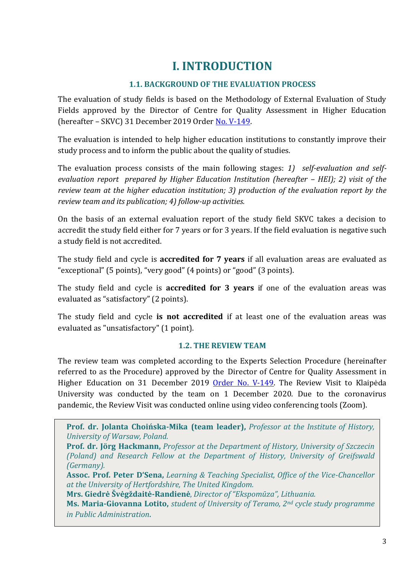# **I. INTRODUCTION**

## **1.1. BACKGROUND OF THE EVALUATION PROCESS**

<span id="page-3-1"></span><span id="page-3-0"></span>The evaluation of study fields is based on the Methodology of External Evaluation of Study Fields approved by the Director of Centre for Quality Assessment in Higher Education (hereafter – SKVC) 31 December 2019 Order [No. V-149.](https://www.skvc.lt/uploads/lawacts/docs/352_67a9ef6994827300f90385d1fdd321f1.pdf)

The evaluation is intended to help higher education institutions to constantly improve their study process and to inform the public about the quality of studies.

The evaluation process consists of the main following stages: *1) self-evaluation and selfevaluation report prepared by Higher Education Institution (hereafter – HEI); 2) visit of the review team at the higher education institution; 3) production of the evaluation report by the review team and its publication; 4) follow-up activities.* 

On the basis of an external evaluation report of the study field SKVC takes a decision to accredit the study field either for 7 years or for 3 years. If the field evaluation is negative such a study field is not accredited.

The study field and cycle is **accredited for 7 years** if all evaluation areas are evaluated as "exceptional" (5 points), "very good" (4 points) or "good" (3 points).

The study field and cycle is **accredited for 3 years** if one of the evaluation areas was evaluated as "satisfactory" (2 points).

The study field and cycle **is not accredited** if at least one of the evaluation areas was evaluated as "unsatisfactory" (1 point).

### **1.2. THE REVIEW TEAM**

<span id="page-3-2"></span>The review team was completed according to the Experts Selection Procedure (hereinafter referred to as the Procedure) approved by the Director of Centre for Quality Assessment in Higher Education on 31 December 2019 [Order No. V-149](https://www.skvc.lt/uploads/lawacts/docs/349_3c24730602f3906bb3af174e1e94badb.pdf). The Review Visit to Klaipėda University was conducted by the team on 1 December 2020. Due to the coronavirus pandemic, the Review Visit was conducted online using video conferencing tools (Zoom).

**Prof. dr. Jolanta Choińska-Mika (team leader),** *Professor at the Institute of History, University of Warsaw, Poland.*

**Prof. dr. Jörg Hackmann,** *Professor at the Department of History, University of Szczecin (Poland) and Research Fellow at the Department of History, University of Greifswald (Germany).*

**Assoc. Prof. Peter D'Sena,** *Learning & Teaching Specialist, Office of the Vice-Chancellor at the University of Hertfordshire, The United Kingdom.*

**Mrs. Giedrė Švėgždaitė-Randienė**, *Director of "Ekspomūza", Lithuania.*

**Ms. Maria-Giovanna Lotito,** *student of University of Teramo, 2nd cycle study programme in Public Administration*.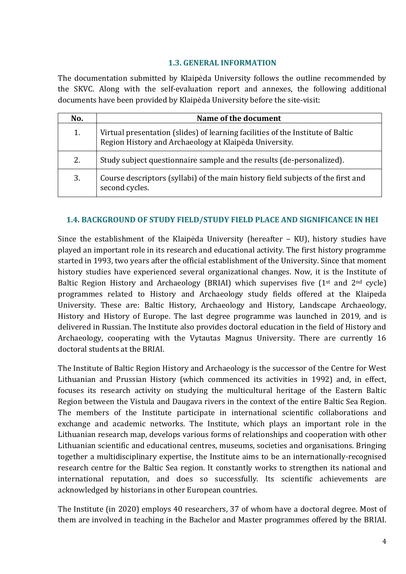#### **1.3. GENERAL INFORMATION**

<span id="page-4-0"></span>The documentation submitted by Klaipėda University follows the outline recommended by the SKVC. Along with the self-evaluation report and annexes, the following additional documents have been provided by Klaipėda University before the site-visit:

| No. | Name of the document                                                                                                                      |
|-----|-------------------------------------------------------------------------------------------------------------------------------------------|
| 1.  | Virtual presentation (slides) of learning facilities of the Institute of Baltic<br>Region History and Archaeology at Klaipėda University. |
| 2.  | Study subject questionnaire sample and the results (de-personalized).                                                                     |
| 3.  | Course descriptors (syllabi) of the main history field subjects of the first and<br>second cycles.                                        |

#### <span id="page-4-1"></span>**1.4. BACKGROUND OF STUDY FIELD/STUDY FIELD PLACE AND SIGNIFICANCE IN HEI**

Since the establishment of the Klaipėda University (hereafter – KU), history studies have played an important role in its research and educational activity. The first history programme started in 1993, two years after the official establishment of the University. Since that moment history studies have experienced several organizational changes. Now, it is the Institute of Baltic Region History and Archaeology (BRIAI) which supervises five  $(1^{st}$  and  $2^{nd}$  cycle) programmes related to History and Archaeology study fields offered at the Klaipeda University. These are: Baltic History, Archaeology and History, Landscape Archaeology, History and History of Europe. The last degree programme was launched in 2019, and is delivered in Russian. The Institute also provides doctoral education in the field of History and Archaeology, cooperating with the Vytautas Magnus University. There are currently 16 doctoral students at the BRIAI.

The Institute of Baltic Region History and Archaeology is the successor of the Centre for West Lithuanian and Prussian History (which commenced its activities in 1992) and, in effect, focuses its research activity on studying the multicultural heritage of the Eastern Baltic Region between the Vistula and Daugava rivers in the context of the entire Baltic Sea Region. The members of the Institute participate in international scientific collaborations and exchange and academic networks. The Institute, which plays an important role in the Lithuanian research map, develops various forms of relationships and cooperation with other Lithuanian scientific and educational centres, museums, societies and organisations. Bringing together a multidisciplinary expertise, the Institute aims to be an internationally-recognised research centre for the Baltic Sea region. It constantly works to strengthen its national and international reputation, and does so successfully. Its scientific achievements are acknowledged by historians in other European countries.

The Institute (in 2020) employs 40 researchers, 37 of whom have a doctoral degree. Most of them are involved in teaching in the Bachelor and Master programmes offered by the BRIAI.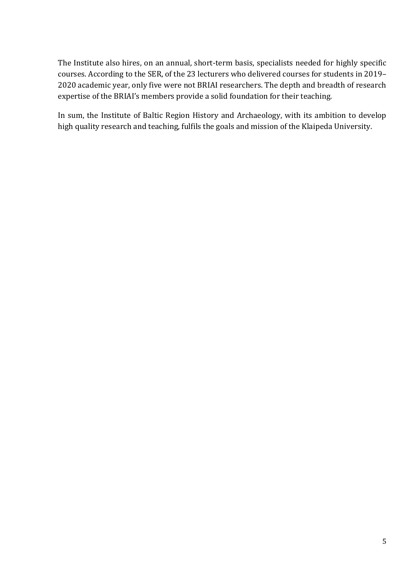The Institute also hires, on an annual, short-term basis, specialists needed for highly specific courses. According to the SER, of the 23 lecturers who delivered courses for students in 2019– 2020 academic year, only five were not BRIAI researchers. The depth and breadth of research expertise of the BRIAI's members provide a solid foundation for their teaching.

In sum, the Institute of Baltic Region History and Archaeology, with its ambition to develop high quality research and teaching, fulfils the goals and mission of the Klaipeda University.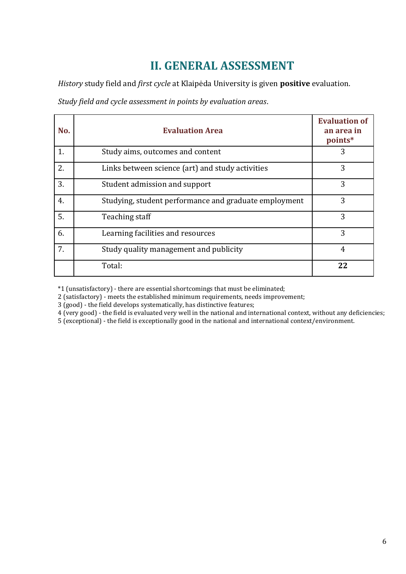# **II. GENERAL ASSESSMENT**

<span id="page-6-0"></span>*History* study field and *first cycle* at Klaipėda University is given **positive** evaluation.

*Study field and cycle assessment in points by evaluation areas*.

| No. | <b>Evaluation Area</b>                                | <b>Evaluation of</b><br>an area in<br>points* |
|-----|-------------------------------------------------------|-----------------------------------------------|
| 1.  | Study aims, outcomes and content                      | 3                                             |
| 2.  | Links between science (art) and study activities      | 3                                             |
| 3.  | Student admission and support                         | 3                                             |
| 4.  | Studying, student performance and graduate employment | 3                                             |
| 5.  | Teaching staff                                        | 3                                             |
| 6.  | Learning facilities and resources                     | 3                                             |
| 7.  | Study quality management and publicity                | 4                                             |
|     | Total:                                                | 22                                            |

\*1 (unsatisfactory) - there are essential shortcomings that must be eliminated;

2 (satisfactory) - meets the established minimum requirements, needs improvement;

3 (good) - the field develops systematically, has distinctive features;

4 (very good) - the field is evaluated very well in the national and international context, without any deficiencies;

5 (exceptional) - the field is exceptionally good in the national and international context/environment.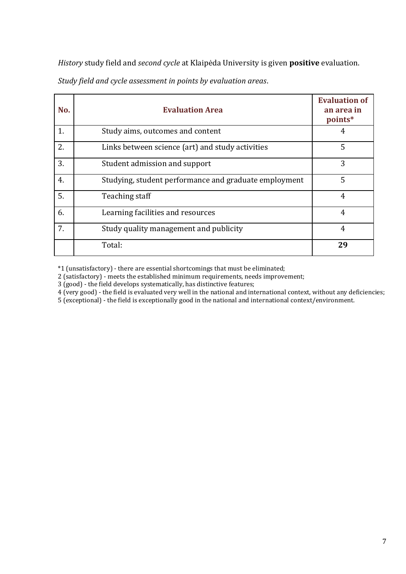*History* study field and *second cycle* at Klaipėda University is given **positive** evaluation.

|  |  | Study field and cycle assessment in points by evaluation areas. |  |  |  |  |
|--|--|-----------------------------------------------------------------|--|--|--|--|
|--|--|-----------------------------------------------------------------|--|--|--|--|

| No. | <b>Evaluation Area</b>                                | <b>Evaluation of</b><br>an area in<br>points* |  |
|-----|-------------------------------------------------------|-----------------------------------------------|--|
| 1.  | Study aims, outcomes and content                      | 4                                             |  |
| 2.  | Links between science (art) and study activities      | 5                                             |  |
| 3.  | Student admission and support                         | 3                                             |  |
| 4.  | Studying, student performance and graduate employment | 5                                             |  |
| 5.  | Teaching staff                                        | $\overline{4}$                                |  |
| 6.  | Learning facilities and resources                     | 4                                             |  |
| 7.  | Study quality management and publicity                | $\overline{4}$                                |  |
|     | Total:                                                | 29                                            |  |

\*1 (unsatisfactory) - there are essential shortcomings that must be eliminated;

2 (satisfactory) - meets the established minimum requirements, needs improvement;

3 (good) - the field develops systematically, has distinctive features;

4 (very good) - the field is evaluated very well in the national and international context, without any deficiencies;

5 (exceptional) - the field is exceptionally good in the national and international context/environment.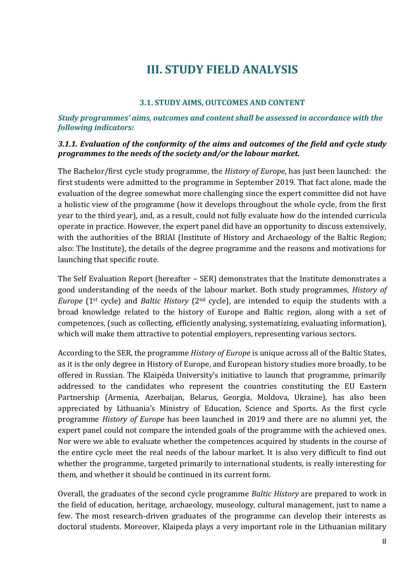# **III. STUDY FIELD ANALYSIS**

#### **3.1. STUDY AIMS, OUTCOMES AND CONTENT**

#### <span id="page-8-1"></span><span id="page-8-0"></span>*Study programmes' aims, outcomes and content shall be assessed in accordance with the following indicators:*

#### *3.1.1. Evaluation of the conformity of the aims and outcomes of the field and cycle study programmes to the needs of the society and/or the labour market.*

The Bachelor/first cycle study programme, the *History of Europe*, has just been launched: the first students were admitted to the programme in September 2019. That fact alone, made the evaluation of the degree somewhat more challenging since the expert committee did not have a holistic view of the programme (how it develops throughout the whole cycle, from the first year to the third year), and, as a result, could not fully evaluate how do the intended curricula operate in practice. However, the expert panel did have an opportunity to discuss extensively, with the authorities of the BRIAI (Institute of History and Archaeology of the Baltic Region; also: The Institute), the details of the degree programme and the reasons and motivations for launching that specific route.

The Self Evaluation Report (hereafter – SER) demonstrates that the Institute demonstrates a good understanding of the needs of the labour market. Both study programmes, *History of Europe* (1<sup>st</sup> cycle) and *Baltic History* (2<sup>nd</sup> cycle), are intended to equip the students with a broad knowledge related to the history of Europe and Baltic region, along with a set of competences, (such as collecting, efficiently analysing, systematizing, evaluating information), which will make them attractive to potential employers, representing various sectors.

According to the SER, the programme *History of Europe* is unique across all of the Baltic States, as it is the only degree in History of Europe, and European history studies more broadly, to be offered in Russian. The Klaipėda University's initiative to launch that programme, primarily addressed to the candidates who represent the countries constituting the EU Eastern Partnership (Armenia, Azerbaijan, Belarus, Georgia, Moldova, Ukraine), has also been appreciated by Lithuania's Ministry of Education, Science and Sports. As the first cycle programme *History of Europe* has been launched in 2019 and there are no alumni yet, the expert panel could not compare the intended goals of the programme with the achieved ones. Nor were we able to evaluate whether the competences acquired by students in the course of the entire cycle meet the real needs of the labour market. It is also very difficult to find out whether the programme, targeted primarily to international students, is really interesting for them, and whether it should be continued in its current form.

Overall, the graduates of the second cycle programme *Baltic History* are prepared to work in the field of education, heritage, archaeology, museology, cultural management, just to name a few. The most research-driven graduates of the programme can develop their interests as doctoral students. Moreover, Klaipeda plays a very important role in the Lithuanian military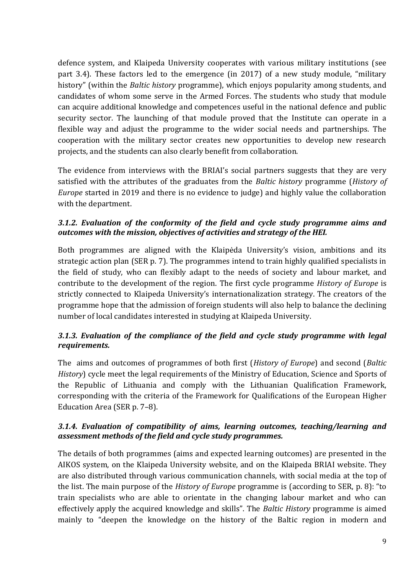defence system, and Klaipeda University cooperates with various military institutions (see part 3.4). These factors led to the emergence (in 2017) of a new study module, "military history" (within the *Baltic history* programme), which enjoys popularity among students, and candidates of whom some serve in the Armed Forces. The students who study that module can acquire additional knowledge and competences useful in the national defence and public security sector. The launching of that module proved that the Institute can operate in a flexible way and adjust the programme to the wider social needs and partnerships. The cooperation with the military sector creates new opportunities to develop new research projects, and the students can also clearly benefit from collaboration.

The evidence from interviews with the BRIAI's social partners suggests that they are very satisfied with the attributes of the graduates from the *Baltic history* programme (*History of Europe* started in 2019 and there is no evidence to judge) and highly value the collaboration with the department.

## *3.1.2. Evaluation of the conformity of the field and cycle study programme aims and outcomes with the mission, objectives of activities and strategy of the HEI.*

Both programmes are aligned with the Klaipėda University's vision, ambitions and its strategic action plan (SER p. 7). The programmes intend to train highly qualified specialists in the field of study, who can flexibly adapt to the needs of society and labour market, and contribute to the development of the region. The first cycle programme *History of Europe* is strictly connected to Klaipeda University's internationalization strategy. The creators of the programme hope that the admission of foreign students will also help to balance the declining number of local candidates interested in studying at Klaipeda University.

## *3.1.3. Evaluation of the compliance of the field and cycle study programme with legal requirements.*

The aims and outcomes of programmes of both first (*History of Europe*) and second (*Baltic History*) cycle meet the legal requirements of the Ministry of Education, Science and Sports of the Republic of Lithuania and comply with the Lithuanian Qualification Framework, corresponding with the criteria of the Framework for Qualifications of the European Higher Education Area (SER p. 7–8).

### *3.1.4. Evaluation of compatibility of aims, learning outcomes, teaching/learning and assessment methods of the field and cycle study programmes.*

The details of both programmes (aims and expected learning outcomes) are presented in the AIKOS system, on the Klaipeda University website, and on the Klaipeda BRIAI website. They are also distributed through various communication channels, with social media at the top of the list. The main purpose of the *History of Europe* programme is (according to SER, p. 8): "to train specialists who are able to orientate in the changing labour market and who can effectively apply the acquired knowledge and skills". The *Baltic History* programme is aimed mainly to "deepen the knowledge on the history of the Baltic region in modern and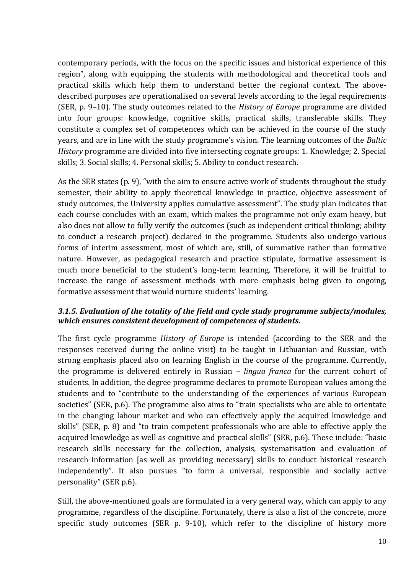contemporary periods, with the focus on the specific issues and historical experience of this region", along with equipping the students with methodological and theoretical tools and practical skills which help them to understand better the regional context. The abovedescribed purposes are operationalised on several levels according to the legal requirements (SER, p. 9–10). The study outcomes related to the *History of Europe* programme are divided into four groups: knowledge, cognitive skills, practical skills, transferable skills. They constitute a complex set of competences which can be achieved in the course of the study years, and are in line with the study programme's vision. The learning outcomes of the *Baltic History* programme are divided into five intersecting cognate groups: 1. Knowledge; 2. Special skills; 3. Social skills; 4. Personal skills; 5. Ability to conduct research.

As the SER states (p. 9), "with the aim to ensure active work of students throughout the study semester, their ability to apply theoretical knowledge in practice, objective assessment of study outcomes, the University applies cumulative assessment". The study plan indicates that each course concludes with an exam, which makes the programme not only exam heavy, but also does not allow to fully verify the outcomes (such as independent critical thinking; ability to conduct a research project) declared in the programme. Students also undergo various forms of interim assessment, most of which are, still, of summative rather than formative nature. However, as pedagogical research and practice stipulate, formative assessment is much more beneficial to the student's long-term learning. Therefore, it will be fruitful to increase the range of assessment methods with more emphasis being given to ongoing, formative assessment that would nurture students' learning.

### *3.1.5. Evaluation of the totality of the field and cycle study programme subjects/modules, which ensures consistent development of competences of students.*

The first cycle programme *History of Europe* is intended (according to the SER and the responses received during the online visit) to be taught in Lithuanian and Russian, with strong emphasis placed also on learning English in the course of the programme. Currently, the programme is delivered entirely in Russian – *lingua franca* for the current cohort of students. In addition, the degree programme declares to promote European values among the students and to "contribute to the understanding of the experiences of various European societies" (SER, p.6). The programme also aims to "train specialists who are able to orientate in the changing labour market and who can effectively apply the acquired knowledge and skills" (SER, p. 8) and "to train competent professionals who are able to effective apply the acquired knowledge as well as cognitive and practical skills" (SER, p.6). These include: "basic research skills necessary for the collection, analysis, systematisation and evaluation of research information [as well as providing necessary] skills to conduct historical research independently". It also pursues "to form a universal, responsible and socially active personality" (SER p.6).

Still, the above-mentioned goals are formulated in a very general way, which can apply to any programme, regardless of the discipline. Fortunately, there is also a list of the concrete, more specific study outcomes (SER p. 9-10), which refer to the discipline of history more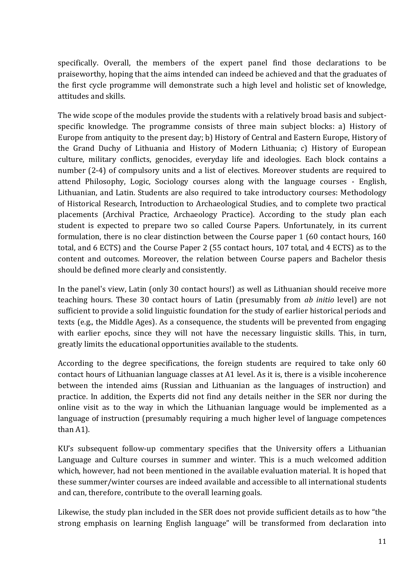specifically. Overall, the members of the expert panel find those declarations to be praiseworthy, hoping that the aims intended can indeed be achieved and that the graduates of the first cycle programme will demonstrate such a high level and holistic set of knowledge, attitudes and skills.

The wide scope of the modules provide the students with a relatively broad basis and subjectspecific knowledge. The programme consists of three main subject blocks: a) History of Europe from antiquity to the present day; b) History of Central and Eastern Europe, History of the Grand Duchy of Lithuania and History of Modern Lithuania; c) History of European culture, military conflicts, genocides, everyday life and ideologies. Each block contains a number (2-4) of compulsory units and a list of electives. Moreover students are required to attend Philosophy, Logic, Sociology courses along with the language courses - English, Lithuanian, and Latin. Students are also required to take introductory courses: Methodology of Historical Research, Introduction to Archaeological Studies, and to complete two practical placements (Archival Practice, Archaeology Practice). According to the study plan each student is expected to prepare two so called Course Papers. Unfortunately, in its current formulation, there is no clear distinction between the Course paper 1 (60 contact hours, 160 total, and 6 ECTS) and the Course Paper 2 (55 contact hours, 107 total, and 4 ECTS) as to the content and outcomes. Moreover, the relation between Course papers and Bachelor thesis should be defined more clearly and consistently.

In the panel's view, Latin (only 30 contact hours!) as well as Lithuanian should receive more teaching hours. These 30 contact hours of Latin (presumably from *ab initio* level) are not sufficient to provide a solid linguistic foundation for the study of earlier historical periods and texts (e.g., the Middle Ages). As a consequence, the students will be prevented from engaging with earlier epochs, since they will not have the necessary linguistic skills. This, in turn, greatly limits the educational opportunities available to the students.

According to the degree specifications, the foreign students are required to take only 60 contact hours of Lithuanian language classes at A1 level. As it is, there is a visible incoherence between the intended aims (Russian and Lithuanian as the languages of instruction) and practice. In addition, the Experts did not find any details neither in the SER nor during the online visit as to the way in which the Lithuanian language would be implemented as a language of instruction (presumably requiring a much higher level of language competences than A1).

KU's subsequent follow-up commentary specifies that the University offers a Lithuanian Language and Culture courses in summer and winter. This is a much welcomed addition which, however, had not been mentioned in the available evaluation material. It is hoped that these summer/winter courses are indeed available and accessible to all international students and can, therefore, contribute to the overall learning goals.

Likewise, the study plan included in the SER does not provide sufficient details as to how "the strong emphasis on learning English language" will be transformed from declaration into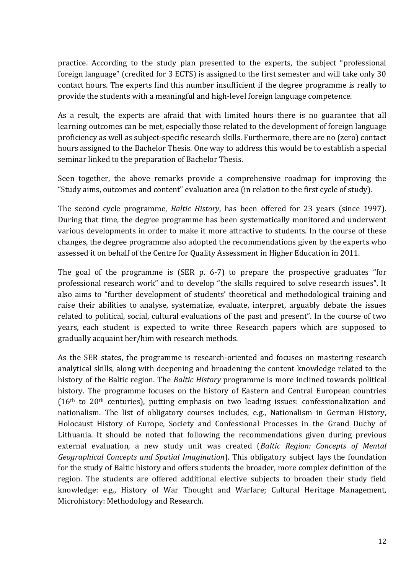practice. According to the study plan presented to the experts, the subject "professional foreign language" (credited for 3 ECTS) is assigned to the first semester and will take only 30 contact hours. The experts find this number insufficient if the degree programme is really to provide the students with a meaningful and high-level foreign language competence.

As a result, the experts are afraid that with limited hours there is no guarantee that all learning outcomes can be met, especially those related to the development of foreign language proficiency as well as subject-specific research skills. Furthermore, there are no (zero) contact hours assigned to the Bachelor Thesis. One way to address this would be to establish a special seminar linked to the preparation of Bachelor Thesis.

Seen together, the above remarks provide a comprehensive roadmap for improving the "Study aims, outcomes and content" evaluation area (in relation to the first cycle of study).

The second cycle programme, *Baltic History*, has been offered for 23 years (since 1997). During that time, the degree programme has been systematically monitored and underwent various developments in order to make it more attractive to students. In the course of these changes, the degree programme also adopted the recommendations given by the experts who assessed it on behalf of the Centre for Quality Assessment in Higher Education in 2011.

The goal of the programme is (SER p. 6-7) to prepare the prospective graduates "for professional research work" and to develop "the skills required to solve research issues". It also aims to "further development of students' theoretical and methodological training and raise their abilities to analyse, systematize, evaluate, interpret, arguably debate the issues related to political, social, cultural evaluations of the past and present". In the course of two years, each student is expected to write three Research papers which are supposed to gradually acquaint her/him with research methods.

As the SER states, the programme is research-oriented and focuses on mastering research analytical skills, along with deepening and broadening the content knowledge related to the history of the Baltic region. The *Baltic History* programme is more inclined towards political history. The programme focuses on the history of Eastern and Central European countries  $(16<sup>th</sup>$  to  $20<sup>th</sup>$  centuries), putting emphasis on two leading issues: confessionalization and nationalism. The list of obligatory courses includes, e.g., Nationalism in German History, Holocaust History of Europe, Society and Confessional Processes in the Grand Duchy of Lithuania. It should be noted that following the recommendations given during previous external evaluation, a new study unit was created (*Baltic Region: Concepts of Mental Geographical Concepts and Spatial Imagination*). This obligatory subject lays the foundation for the study of Baltic history and offers students the broader, more complex definition of the region. The students are offered additional elective subjects to broaden their study field knowledge: e.g., History of War Thought and Warfare; Cultural Heritage Management, Microhistory: Methodology and Research.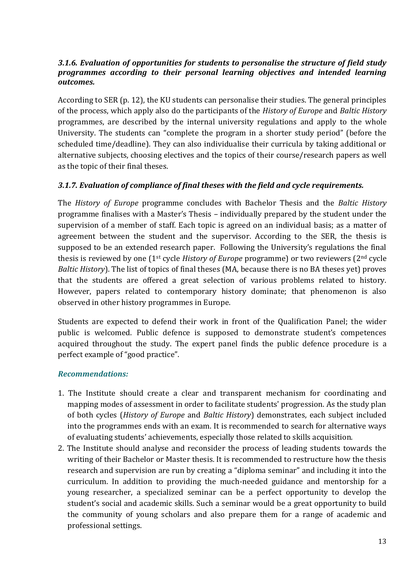#### *3.1.6. Evaluation of opportunities for students to personalise the structure of field study programmes according to their personal learning objectives and intended learning outcomes.*

According to SER (p. 12), the KU students can personalise their studies. The general principles of the process, which apply also do the participants of the *History of Europe* and *Baltic History* programmes, are described by the internal university regulations and apply to the whole University. The students can "complete the program in a shorter study period" (before the scheduled time/deadline). They can also individualise their curricula by taking additional or alternative subjects, choosing electives and the topics of their course/research papers as well as the topic of their final theses.

### *3.1.7. Evaluation of compliance of final theses with the field and cycle requirements.*

The *History of Europe* programme concludes with Bachelor Thesis and the *Baltic History*  programme finalises with a Master's Thesis – individually prepared by the student under the supervision of a member of staff. Each topic is agreed on an individual basis; as a matter of agreement between the student and the supervisor. According to the SER, the thesis is supposed to be an extended research paper. Following the University's regulations the final thesis is reviewed by one (1st cycle *History of Europe* programme) or two reviewers (2nd cycle *Baltic History*). The list of topics of final theses (MA, because there is no BA theses yet) proves that the students are offered a great selection of various problems related to history. However, papers related to contemporary history dominate; that phenomenon is also observed in other history programmes in Europe.

Students are expected to defend their work in front of the Qualification Panel; the wider public is welcomed. Public defence is supposed to demonstrate student's competences acquired throughout the study. The expert panel finds the public defence procedure is a perfect example of "good practice".

#### *Recommendations:*

- 1. The Institute should create a clear and transparent mechanism for coordinating and mapping modes of assessment in order to facilitate students' progression. As the study plan of both cycles (*History of Europe* and *Baltic History*) demonstrates, each subject included into the programmes ends with an exam. It is recommended to search for alternative ways of evaluating students' achievements, especially those related to skills acquisition.
- 2. The Institute should analyse and reconsider the process of leading students towards the writing of their Bachelor or Master thesis. It is recommended to restructure how the thesis research and supervision are run by creating a "diploma seminar" and including it into the curriculum. In addition to providing the much-needed guidance and mentorship for a young researcher, a specialized seminar can be a perfect opportunity to develop the student's social and academic skills. Such a seminar would be a great opportunity to build the community of young scholars and also prepare them for a range of academic and professional settings.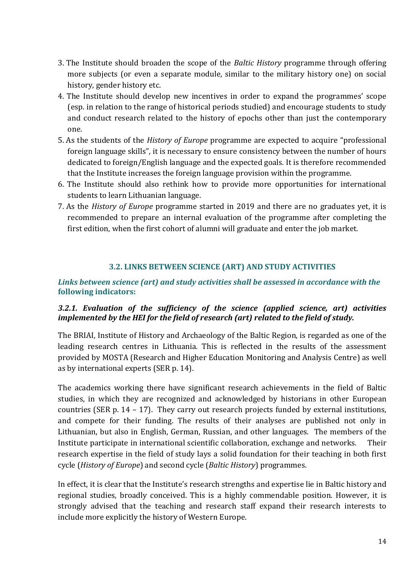- 3. The Institute should broaden the scope of the *Baltic History* programme through offering more subjects (or even a separate module, similar to the military history one) on social history, gender history etc.
- 4. The Institute should develop new incentives in order to expand the programmes' scope (esp. in relation to the range of historical periods studied) and encourage students to study and conduct research related to the history of epochs other than just the contemporary one.
- 5. As the students of the *History of Europe* programme are expected to acquire "professional foreign language skills", it is necessary to ensure consistency between the number of hours dedicated to foreign/English language and the expected goals. It is therefore recommended that the Institute increases the foreign language provision within the programme.
- 6. The Institute should also rethink how to provide more opportunities for international students to learn Lithuanian language.
- 7. As the *History of Europe* programme started in 2019 and there are no graduates yet, it is recommended to prepare an internal evaluation of the programme after completing the first edition, when the first cohort of alumni will graduate and enter the job market.

### **3.2. LINKS BETWEEN SCIENCE (ART) AND STUDY ACTIVITIES**

## <span id="page-14-0"></span>*Links between science (art) and study activities shall be assessed in accordance with the*  **following indicators:**

## *3.2.1. Evaluation of the sufficiency of the science (applied science, art) activities implemented by the HEI for the field of research (art) related to the field of study.*

The BRIAI, Institute of History and Archaeology of the Baltic Region, is regarded as one of the leading research centres in Lithuania. This is reflected in the results of the assessment provided by MOSTA (Research and Higher Education Monitoring and Analysis Centre) as well as by international experts (SER p. 14).

The academics working there have significant research achievements in the field of Baltic studies, in which they are recognized and acknowledged by historians in other European countries (SER p. 14 – 17). They carry out research projects funded by external institutions, and compete for their funding. The results of their analyses are published not only in Lithuanian, but also in English, German, Russian, and other languages. The members of the Institute participate in international scientific collaboration, exchange and networks. Their research expertise in the field of study lays a solid foundation for their teaching in both first cycle (*History of Europe*) and second cycle (*Baltic History*) programmes.

In effect, it is clear that the Institute's research strengths and expertise lie in Baltic history and regional studies, broadly conceived. This is a highly commendable position. However, it is strongly advised that the teaching and research staff expand their research interests to include more explicitly the history of Western Europe.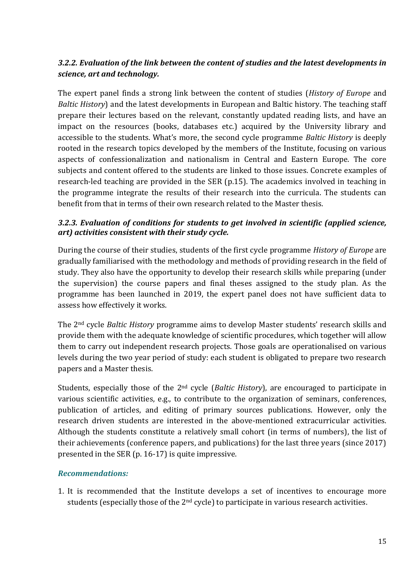## *3.2.2. Evaluation of the link between the content of studies and the latest developments in science, art and technology.*

The expert panel finds a strong link between the content of studies (*History of Europe* and *Baltic History*) and the latest developments in European and Baltic history. The teaching staff prepare their lectures based on the relevant, constantly updated reading lists, and have an impact on the resources (books, databases etc.) acquired by the University library and accessible to the students. What's more, the second cycle programme *Baltic History* is deeply rooted in the research topics developed by the members of the Institute, focusing on various aspects of confessionalization and nationalism in Central and Eastern Europe. The core subjects and content offered to the students are linked to those issues. Concrete examples of research-led teaching are provided in the SER (p.15). The academics involved in teaching in the programme integrate the results of their research into the curricula. The students can benefit from that in terms of their own research related to the Master thesis.

### *3.2.3. Evaluation of conditions for students to get involved in scientific (applied science, art) activities consistent with their study cycle.*

During the course of their studies, students of the first cycle programme *History of Europe* are gradually familiarised with the methodology and methods of providing research in the field of study. They also have the opportunity to develop their research skills while preparing (under the supervision) the course papers and final theses assigned to the study plan. As the programme has been launched in 2019, the expert panel does not have sufficient data to assess how effectively it works.

The 2nd cycle *Baltic History* programme aims to develop Master students' research skills and provide them with the adequate knowledge of scientific procedures, which together will allow them to carry out independent research projects. Those goals are operationalised on various levels during the two year period of study: each student is obligated to prepare two research papers and a Master thesis.

Students, especially those of the 2nd cycle (*Baltic History*), are encouraged to participate in various scientific activities, e.g., to contribute to the organization of seminars, conferences, publication of articles, and editing of primary sources publications. However, only the research driven students are interested in the above-mentioned extracurricular activities. Although the students constitute a relatively small cohort (in terms of numbers), the list of their achievements (conference papers, and publications) for the last three years (since 2017) presented in the SER (p. 16-17) is quite impressive.

### *Recommendations:*

1. It is recommended that the Institute develops a set of incentives to encourage more students (especially those of the 2<sup>nd</sup> cycle) to participate in various research activities.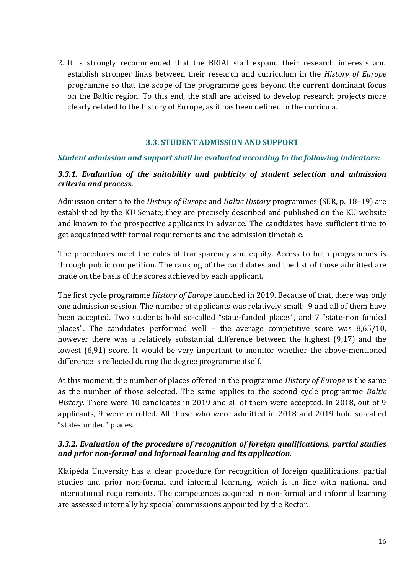2. It is strongly recommended that the BRIAI staff expand their research interests and establish stronger links between their research and curriculum in the *History of Europe* programme so that the scope of the programme goes beyond the current dominant focus on the Baltic region. To this end, the staff are advised to develop research projects more clearly related to the history of Europe, as it has been defined in the curricula.

#### **3.3. STUDENT ADMISSION AND SUPPORT**

#### <span id="page-16-0"></span>*Student admission and support shall be evaluated according to the following indicators:*

### *3.3.1. Evaluation of the suitability and publicity of student selection and admission criteria and process.*

Admission criteria to the *History of Europe* and *Baltic History* programmes (SER, p. 18–19) are established by the KU Senate; they are precisely described and published on the KU website and known to the prospective applicants in advance. The candidates have sufficient time to get acquainted with formal requirements and the admission timetable.

The procedures meet the rules of transparency and equity. Access to both programmes is through public competition. The ranking of the candidates and the list of those admitted are made on the basis of the scores achieved by each applicant.

The first cycle programme *History of Europe* launched in 2019. Because of that, there was only one admission session. The number of applicants was relatively small: 9 and all of them have been accepted. Two students hold so-called "state-funded places", and 7 "state-non funded places". The candidates performed well – the average competitive score was 8,65/10, however there was a relatively substantial difference between the highest (9,17) and the lowest (6,91) score. It would be very important to monitor whether the above-mentioned difference is reflected during the degree programme itself.

At this moment, the number of places offered in the programme *History of Europe* is the same as the number of those selected. The same applies to the second cycle programme *Baltic History*. There were 10 candidates in 2019 and all of them were accepted. In 2018, out of 9 applicants, 9 were enrolled. All those who were admitted in 2018 and 2019 hold so-called "state-funded" places.

#### *3.3.2. Evaluation of the procedure of recognition of foreign qualifications, partial studies and prior non-formal and informal learning and its application.*

Klaipėda University has a clear procedure for recognition of foreign qualifications, partial studies and prior non-formal and informal learning, which is in line with national and international requirements. The competences acquired in non-formal and informal learning are assessed internally by special commissions appointed by the Rector.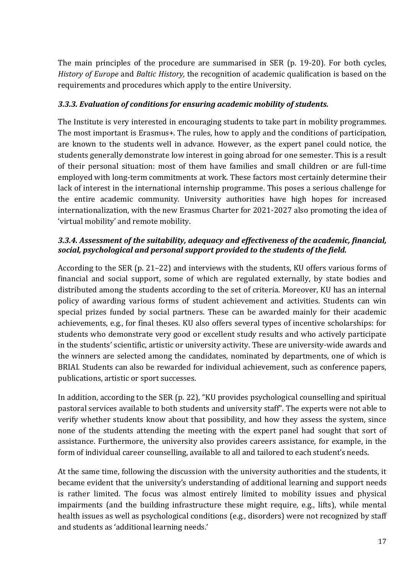The main principles of the procedure are summarised in SER (p. 19-20). For both cycles, *History of Europe* and *Baltic History,* the recognition of academic qualification is based on the requirements and procedures which apply to the entire University.

## *3.3.3. Evaluation of conditions for ensuring academic mobility of students.*

The Institute is very interested in encouraging students to take part in mobility programmes. The most important is Erasmus+. The rules, how to apply and the conditions of participation, are known to the students well in advance. However, as the expert panel could notice, the students generally demonstrate low interest in going abroad for one semester. This is a result of their personal situation: most of them have families and small children or are full-time employed with long-term commitments at work. These factors most certainly determine their lack of interest in the international internship programme. This poses a serious challenge for the entire academic community. University authorities have high hopes for increased internationalization, with the new Erasmus Charter for 2021-2027 also promoting the idea of 'virtual mobility' and remote mobility.

## *3.3.4. Assessment of the suitability, adequacy and effectiveness of the academic, financial, social, psychological and personal support provided to the students of the field.*

According to the SER (p. 21–22) and interviews with the students, KU offers various forms of financial and social support, some of which are regulated externally, by state bodies and distributed among the students according to the set of criteria. Moreover, KU has an internal policy of awarding various forms of student achievement and activities. Students can win special prizes funded by social partners. These can be awarded mainly for their academic achievements, e.g., for final theses. KU also offers several types of incentive scholarships: for students who demonstrate very good or excellent study results and who actively participate in the students' scientific, artistic or university activity. These are university-wide awards and the winners are selected among the candidates, nominated by departments, one of which is BRIAI. Students can also be rewarded for individual achievement, such as conference papers, publications, artistic or sport successes.

In addition, according to the SER (p. 22), "KU provides psychological counselling and spiritual pastoral services available to both students and university staff". The experts were not able to verify whether students know about that possibility, and how they assess the system, since none of the students attending the meeting with the expert panel had sought that sort of assistance. Furthermore, the university also provides careers assistance, for example, in the form of individual career counselling, available to all and tailored to each student's needs.

At the same time, following the discussion with the university authorities and the students, it became evident that the university's understanding of additional learning and support needs is rather limited. The focus was almost entirely limited to mobility issues and physical impairments (and the building infrastructure these might require, e.g., lifts), while mental health issues as well as psychological conditions (e.g., disorders) were not recognized by staff and students as 'additional learning needs.'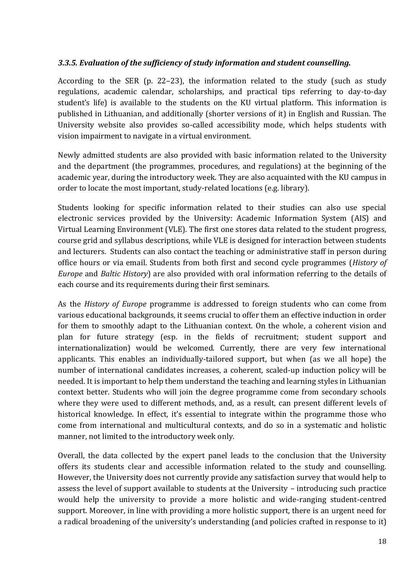## *3.3.5. Evaluation of the sufficiency of study information and student counselling.*

According to the SER (p. 22–23), the information related to the study (such as study regulations, academic calendar, scholarships, and practical tips referring to day-to-day student's life) is available to the students on the KU virtual platform. This information is published in Lithuanian, and additionally (shorter versions of it) in English and Russian. The University website also provides so-called accessibility mode, which helps students with vision impairment to navigate in a virtual environment.

Newly admitted students are also provided with basic information related to the University and the department (the programmes, procedures, and regulations) at the beginning of the academic year, during the introductory week. They are also acquainted with the KU campus in order to locate the most important, study-related locations (e.g. library).

Students looking for specific information related to their studies can also use special electronic services provided by the University: Academic Information System (AIS) and Virtual Learning Environment (VLE). The first one stores data related to the student progress, course grid and syllabus descriptions, while VLE is designed for interaction between students and lecturers. Students can also contact the teaching or administrative staff in person during office hours or via email. Students from both first and second cycle programmes (*History of Europe* and *Baltic History*) are also provided with oral information referring to the details of each course and its requirements during their first seminars.

As the *History of Europe* programme is addressed to foreign students who can come from various educational backgrounds, it seems crucial to offer them an effective induction in order for them to smoothly adapt to the Lithuanian context. On the whole, a coherent vision and plan for future strategy (esp. in the fields of recruitment; student support and internationalization) would be welcomed. Currently, there are very few international applicants. This enables an individually-tailored support, but when (as we all hope) the number of international candidates increases, a coherent, scaled-up induction policy will be needed. It is important to help them understand the teaching and learning styles in Lithuanian context better. Students who will join the degree programme come from secondary schools where they were used to different methods, and, as a result, can present different levels of historical knowledge. In effect, it's essential to integrate within the programme those who come from international and multicultural contexts, and do so in a systematic and holistic manner, not limited to the introductory week only.

Overall, the data collected by the expert panel leads to the conclusion that the University offers its students clear and accessible information related to the study and counselling. However, the University does not currently provide any satisfaction survey that would help to assess the level of support available to students at the University – introducing such practice would help the university to provide a more holistic and wide-ranging student-centred support. Moreover, in line with providing a more holistic support, there is an urgent need for a radical broadening of the university's understanding (and policies crafted in response to it)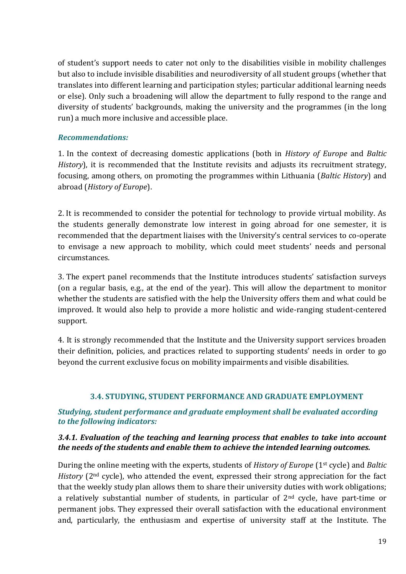of student's support needs to cater not only to the disabilities visible in mobility challenges but also to include invisible disabilities and neurodiversity of all student groups (whether that translates into different learning and participation styles; particular additional learning needs or else). Only such a broadening will allow the department to fully respond to the range and diversity of students' backgrounds, making the university and the programmes (in the long run) a much more inclusive and accessible place.

#### *Recommendations:*

1. In the context of decreasing domestic applications (both in *History of Europe* and *Baltic History*), it is recommended that the Institute revisits and adjusts its recruitment strategy, focusing, among others, on promoting the programmes within Lithuania (*Baltic History*) and abroad (*History of Europe*).

2. It is recommended to consider the potential for technology to provide virtual mobility. As the students generally demonstrate low interest in going abroad for one semester, it is recommended that the department liaises with the University's central services to co-operate to envisage a new approach to mobility, which could meet students' needs and personal circumstances.

3. The expert panel recommends that the Institute introduces students' satisfaction surveys (on a regular basis, e.g., at the end of the year). This will allow the department to monitor whether the students are satisfied with the help the University offers them and what could be improved. It would also help to provide a more holistic and wide-ranging student-centered support.

4. It is strongly recommended that the Institute and the University support services broaden their definition, policies, and practices related to supporting students' needs in order to go beyond the current exclusive focus on mobility impairments and visible disabilities.

### <span id="page-19-0"></span> **3.4. STUDYING, STUDENT PERFORMANCE AND GRADUATE EMPLOYMENT**

### *Studying, student performance and graduate employment shall be evaluated according to the following indicators:*

#### *3.4.1. Evaluation of the teaching and learning process that enables to take into account the needs of the students and enable them to achieve the intended learning outcomes.*

During the online meeting with the experts, students of *History of Europe* (1st cycle) and *Baltic History* (2nd cycle), who attended the event, expressed their strong appreciation for the fact that the weekly study plan allows them to share their university duties with work obligations; a relatively substantial number of students, in particular of  $2<sup>nd</sup>$  cycle, have part-time or permanent jobs. They expressed their overall satisfaction with the educational environment and, particularly, the enthusiasm and expertise of university staff at the Institute. The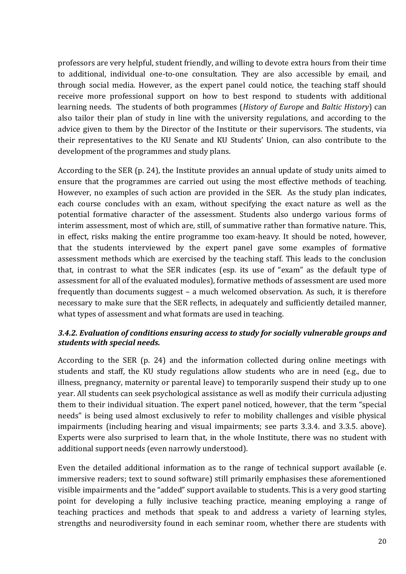professors are very helpful, student friendly, and willing to devote extra hours from their time to additional, individual one-to-one consultation. They are also accessible by email, and through social media. However, as the expert panel could notice, the teaching staff should receive more professional support on how to best respond to students with additional learning needs. The students of both programmes (*History of Europe* and *Baltic History*) can also tailor their plan of study in line with the university regulations, and according to the advice given to them by the Director of the Institute or their supervisors. The students, via their representatives to the KU Senate and KU Students' Union, can also contribute to the development of the programmes and study plans.

According to the SER (p. 24), the Institute provides an annual update of study units aimed to ensure that the programmes are carried out using the most effective methods of teaching. However, no examples of such action are provided in the SER. As the study plan indicates, each course concludes with an exam, without specifying the exact nature as well as the potential formative character of the assessment. Students also undergo various forms of interim assessment, most of which are, still, of summative rather than formative nature. This, in effect, risks making the entire programme too exam-heavy. It should be noted, however, that the students interviewed by the expert panel gave some examples of formative assessment methods which are exercised by the teaching staff. This leads to the conclusion that, in contrast to what the SER indicates (esp. its use of "exam" as the default type of assessment for all of the evaluated modules), formative methods of assessment are used more frequently than documents suggest – a much welcomed observation. As such, it is therefore necessary to make sure that the SER reflects, in adequately and sufficiently detailed manner, what types of assessment and what formats are used in teaching.

### *3.4.2. Evaluation of conditions ensuring access to study for socially vulnerable groups and students with special needs.*

According to the SER (p. 24) and the information collected during online meetings with students and staff, the KU study regulations allow students who are in need (e.g., due to illness, pregnancy, maternity or parental leave) to temporarily suspend their study up to one year. All students can seek psychological assistance as well as modify their curricula adjusting them to their individual situation. The expert panel noticed, however, that the term "special needs" is being used almost exclusively to refer to mobility challenges and visible physical impairments (including hearing and visual impairments; see parts 3.3.4. and 3.3.5. above). Experts were also surprised to learn that, in the whole Institute, there was no student with additional support needs (even narrowly understood).

Even the detailed additional information as to the range of technical support available (e. immersive readers; text to sound software) still primarily emphasises these aforementioned visible impairments and the "added" support available to students. This is a very good starting point for developing a fully inclusive teaching practice, meaning employing a range of teaching practices and methods that speak to and address a variety of learning styles, strengths and neurodiversity found in each seminar room, whether there are students with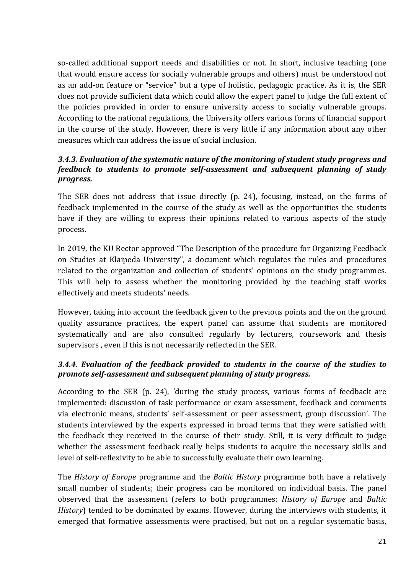so-called additional support needs and disabilities or not. In short, inclusive teaching (one that would ensure access for socially vulnerable groups and others) must be understood not as an add-on feature or "service" but a type of holistic, pedagogic practice. As it is, the SER does not provide sufficient data which could allow the expert panel to judge the full extent of the policies provided in order to ensure university access to socially vulnerable groups. According to the national regulations, the University offers various forms of financial support in the course of the study. However, there is very little if any information about any other measures which can address the issue of social inclusion.

## *3.4.3. Evaluation of the systematic nature of the monitoring of student study progress and feedback to students to promote self-assessment and subsequent planning of study progress.*

The SER does not address that issue directly (p. 24), focusing, instead, on the forms of feedback implemented in the course of the study as well as the opportunities the students have if they are willing to express their opinions related to various aspects of the study process.

In 2019, the KU Rector approved "The Description of the procedure for Organizing Feedback on Studies at Klaipeda University", a document which regulates the rules and procedures related to the organization and collection of students' opinions on the study programmes. This will help to assess whether the monitoring provided by the teaching staff works effectively and meets students' needs.

However, taking into account the feedback given to the previous points and the on the ground quality assurance practices, the expert panel can assume that students are monitored systematically and are also consulted regularly by lecturers, coursework and thesis supervisors , even if this is not necessarily reflected in the SER.

## *3.4.4. Evaluation of the feedback provided to students in the course of the studies to promote self-assessment and subsequent planning of study progress.*

According to the SER (p. 24), 'during the study process, various forms of feedback are implemented: discussion of task performance or exam assessment, feedback and comments via electronic means, students' self-assessment or peer assessment, group discussion'. The students interviewed by the experts expressed in broad terms that they were satisfied with the feedback they received in the course of their study. Still, it is very difficult to judge whether the assessment feedback really helps students to acquire the necessary skills and level of self-reflexivity to be able to successfully evaluate their own learning.

The *History of Europe* programme and the *Baltic History* programme both have a relatively small number of students; their progress can be monitored on individual basis. The panel observed that the assessment (refers to both programmes: *History of Europe* and *Baltic History*) tended to be dominated by exams. However, during the interviews with students, it emerged that formative assessments were practised, but not on a regular systematic basis,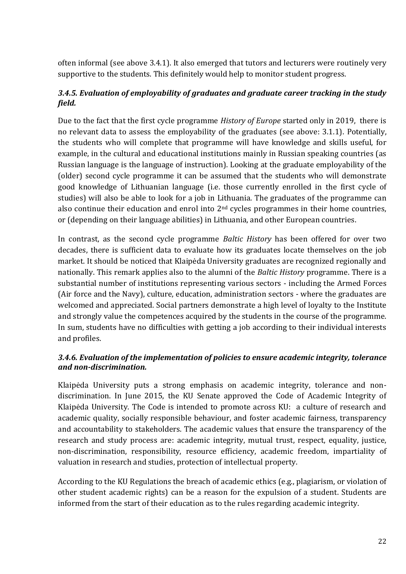often informal (see above 3.4.1). It also emerged that tutors and lecturers were routinely very supportive to the students. This definitely would help to monitor student progress.

## *3.4.5. Evaluation of employability of graduates and graduate career tracking in the study field.*

Due to the fact that the first cycle programme *History of Europe* started only in 2019, there is no relevant data to assess the employability of the graduates (see above: 3.1.1). Potentially, the students who will complete that programme will have knowledge and skills useful, for example, in the cultural and educational institutions mainly in Russian speaking countries (as Russian language is the language of instruction). Looking at the graduate employability of the (older) second cycle programme it can be assumed that the students who will demonstrate good knowledge of Lithuanian language (i.e. those currently enrolled in the first cycle of studies) will also be able to look for a job in Lithuania. The graduates of the programme can also continue their education and enrol into 2nd cycles programmes in their home countries, or (depending on their language abilities) in Lithuania, and other European countries.

In contrast, as the second cycle programme *Baltic History* has been offered for over two decades, there is sufficient data to evaluate how its graduates locate themselves on the job market. It should be noticed that Klaipėda University graduates are recognized regionally and nationally. This remark applies also to the alumni of the *Baltic History* programme. There is a substantial number of institutions representing various sectors - including the Armed Forces (Air force and the Navy), culture, education, administration sectors - where the graduates are welcomed and appreciated. Social partners demonstrate a high level of loyalty to the Institute and strongly value the competences acquired by the students in the course of the programme. In sum, students have no difficulties with getting a job according to their individual interests and profiles.

## *3.4.6. Evaluation of the implementation of policies to ensure academic integrity, tolerance and non-discrimination.*

Klaipėda University puts a strong emphasis on academic integrity, tolerance and nondiscrimination. In June 2015, the KU Senate approved the Code of Academic Integrity of Klaipėda University. The Code is intended to promote across KU: a culture of research and academic quality, socially responsible behaviour, and foster academic fairness, transparency and accountability to stakeholders. The academic values that ensure the transparency of the research and study process are: academic integrity, mutual trust, respect, equality, justice, non-discrimination, responsibility, resource efficiency, academic freedom, impartiality of valuation in research and studies, protection of intellectual property.

According to the KU Regulations the breach of academic ethics (e.g., plagiarism, or violation of other student academic rights) can be a reason for the expulsion of a student. Students are informed from the start of their education as to the rules regarding academic integrity.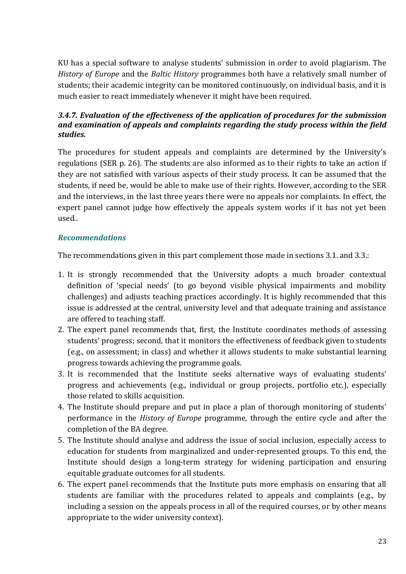KU has a special software to analyse students' submission in order to avoid plagiarism. The *History of Europe* and the *Baltic History* programmes both have a relatively small number of students; their academic integrity can be monitored continuously, on individual basis, and it is much easier to react immediately whenever it might have been required.

## *3.4.7. Evaluation of the effectiveness of the application of procedures for the submission and examination of appeals and complaints regarding the study process within the field studies.*

The procedures for student appeals and complaints are determined by the University's regulations (SER p. 26). The students are also informed as to their rights to take an action if they are not satisfied with various aspects of their study process. It can be assumed that the students, if need be, would be able to make use of their rights. However, according to the SER and the interviews, in the last three years there were no appeals nor complaints. In effect, the expert panel cannot judge how effectively the appeals system works if it has not yet been used..

## *Recommendations*

The recommendations given in this part complement those made in sections 3.1. and 3.3.:

- 1. It is strongly recommended that the University adopts a much broader contextual definition of 'special needs' (to go beyond visible physical impairments and mobility challenges) and adjusts teaching practices accordingly. It is highly recommended that this issue is addressed at the central, university level and that adequate training and assistance are offered to teaching staff.
- 2. The expert panel recommends that, first, the Institute coordinates methods of assessing students' progress; second, that it monitors the effectiveness of feedback given to students (e.g., on assessment; in class) and whether it allows students to make substantial learning progress towards achieving the programme goals.
- 3. It is recommended that the Institute seeks alternative ways of evaluating students' progress and achievements (e.g., individual or group projects, portfolio etc.), especially those related to skills acquisition.
- 4. The Institute should prepare and put in place a plan of thorough monitoring of students' performance in the *History of Europe* programme, through the entire cycle and after the completion of the BA degree.
- 5. The Institute should analyse and address the issue of social inclusion, especially access to education for students from marginalized and under-represented groups. To this end, the Institute should design a long-term strategy for widening participation and ensuring equitable graduate outcomes for all students.
- 6. The expert panel recommends that the Institute puts more emphasis on ensuring that all students are familiar with the procedures related to appeals and complaints (e.g., by including a session on the appeals process in all of the required courses, or by other means appropriate to the wider university context).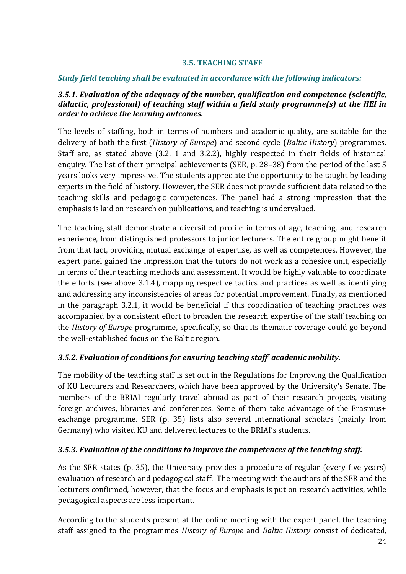#### **3.5. TEACHING STAFF**

#### <span id="page-24-0"></span>*Study field teaching shall be evaluated in accordance with the following indicators:*

#### *3.5.1. Evaluation of the adequacy of the number, qualification and competence (scientific, didactic, professional) of teaching staff within a field study programme(s) at the HEI in order to achieve the learning outcomes.*

The levels of staffing, both in terms of numbers and academic quality, are suitable for the delivery of both the first (*History of Europe*) and second cycle (*Baltic History*) programmes. Staff are, as stated above (3.2. 1 and 3.2.2), highly respected in their fields of historical enquiry. The list of their principal achievements (SER, p. 28–38) from the period of the last 5 years looks very impressive. The students appreciate the opportunity to be taught by leading experts in the field of history. However, the SER does not provide sufficient data related to the teaching skills and pedagogic competences. The panel had a strong impression that the emphasis is laid on research on publications, and teaching is undervalued.

The teaching staff demonstrate a diversified profile in terms of age, teaching, and research experience, from distinguished professors to junior lecturers. The entire group might benefit from that fact, providing mutual exchange of expertise, as well as competences. However, the expert panel gained the impression that the tutors do not work as a cohesive unit, especially in terms of their teaching methods and assessment. It would be highly valuable to coordinate the efforts (see above 3.1.4), mapping respective tactics and practices as well as identifying and addressing any inconsistencies of areas for potential improvement. Finally, as mentioned in the paragraph 3.2.1, it would be beneficial if this coordination of teaching practices was accompanied by a consistent effort to broaden the research expertise of the staff teaching on the *History of Europe* programme, specifically, so that its thematic coverage could go beyond the well-established focus on the Baltic region.

### *3.5.2. Evaluation of conditions for ensuring teaching staff' academic mobility.*

The mobility of the teaching staff is set out in the Regulations for Improving the Qualification of KU Lecturers and Researchers, which have been approved by the University's Senate. The members of the BRIAI regularly travel abroad as part of their research projects, visiting foreign archives, libraries and conferences. Some of them take advantage of the Erasmus+ exchange programme. SER (p. 35) lists also several international scholars (mainly from Germany) who visited KU and delivered lectures to the BRIAI's students.

#### *3.5.3. Evaluation of the conditions to improve the competences of the teaching staff.*

As the SER states (p. 35), the University provides a procedure of regular (every five years) evaluation of research and pedagogical staff. The meeting with the authors of the SER and the lecturers confirmed, however, that the focus and emphasis is put on research activities, while pedagogical aspects are less important.

According to the students present at the online meeting with the expert panel, the teaching staff assigned to the programmes *History of Europe* and *Baltic History* consist of dedicated,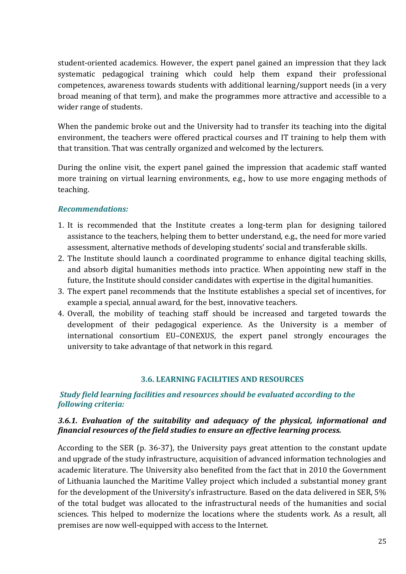student-oriented academics. However, the expert panel gained an impression that they lack systematic pedagogical training which could help them expand their professional competences, awareness towards students with additional learning/support needs (in a very broad meaning of that term), and make the programmes more attractive and accessible to a wider range of students.

When the pandemic broke out and the University had to transfer its teaching into the digital environment, the teachers were offered practical courses and IT training to help them with that transition. That was centrally organized and welcomed by the lecturers.

During the online visit, the expert panel gained the impression that academic staff wanted more training on virtual learning environments, e.g., how to use more engaging methods of teaching.

#### *Recommendations:*

- 1. It is recommended that the Institute creates a long-term plan for designing tailored assistance to the teachers, helping them to better understand, e.g., the need for more varied assessment, alternative methods of developing students' social and transferable skills.
- 2. The Institute should launch a coordinated programme to enhance digital teaching skills, and absorb digital humanities methods into practice. When appointing new staff in the future, the Institute should consider candidates with expertise in the digital humanities.
- 3. The expert panel recommends that the Institute establishes a special set of incentives, for example a special, annual award, for the best, innovative teachers.
- 4. Overall, the mobility of teaching staff should be increased and targeted towards the development of their pedagogical experience. As the University is a member of international consortium EU–CONEXUS, the expert panel strongly encourages the university to take advantage of that network in this regard.

#### **3.6. LEARNING FACILITIES AND RESOURCES**

#### <span id="page-25-0"></span>*Study field learning facilities and resources should be evaluated according to the following criteria:*

#### *3.6.1. Evaluation of the suitability and adequacy of the physical, informational and financial resources of the field studies to ensure an effective learning process.*

According to the SER (p. 36-37), the University pays great attention to the constant update and upgrade of the study infrastructure, acquisition of advanced information technologies and academic literature. The University also benefited from the fact that in 2010 the Government of Lithuania launched the Maritime Valley project which included a substantial money grant for the development of the University's infrastructure. Based on the data delivered in SER, 5% of the total budget was allocated to the infrastructural needs of the humanities and social sciences. This helped to modernize the locations where the students work. As a result, all premises are now well-equipped with access to the Internet.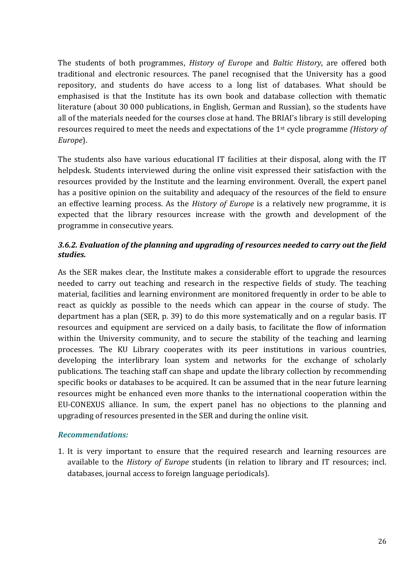The students of both programmes, *History of Europe* and *Baltic History*, are offered both traditional and electronic resources. The panel recognised that the University has a good repository, and students do have access to a long list of databases. What should be emphasised is that the Institute has its own book and database collection with thematic literature (about 30 000 publications, in English, German and Russian), so the students have all of the materials needed for the courses close at hand. The BRIAI's library is still developing resources required to meet the needs and expectations of the 1st cycle programme *(History of Europe*).

The students also have various educational IT facilities at their disposal, along with the IT helpdesk. Students interviewed during the online visit expressed their satisfaction with the resources provided by the Institute and the learning environment. Overall, the expert panel has a positive opinion on the suitability and adequacy of the resources of the field to ensure an effective learning process. As the *History of Europe* is a relatively new programme, it is expected that the library resources increase with the growth and development of the programme in consecutive years.

### *3.6.2. Evaluation of the planning and upgrading of resources needed to carry out the field studies.*

As the SER makes clear, the Institute makes a considerable effort to upgrade the resources needed to carry out teaching and research in the respective fields of study. The teaching material, facilities and learning environment are monitored frequently in order to be able to react as quickly as possible to the needs which can appear in the course of study. The department has a plan (SER, p. 39) to do this more systematically and on a regular basis. IT resources and equipment are serviced on a daily basis, to facilitate the flow of information within the University community, and to secure the stability of the teaching and learning processes. The KU Library cooperates with its peer institutions in various countries, developing the interlibrary loan system and networks for the exchange of scholarly publications. The teaching staff can shape and update the library collection by recommending specific books or databases to be acquired. It can be assumed that in the near future learning resources might be enhanced even more thanks to the international cooperation within the EU-CONEXUS alliance. In sum, the expert panel has no objections to the planning and upgrading of resources presented in the SER and during the online visit.

#### *Recommendations:*

1. It is very important to ensure that the required research and learning resources are available to the *History of Europe* students (in relation to library and IT resources; incl. databases, journal access to foreign language periodicals).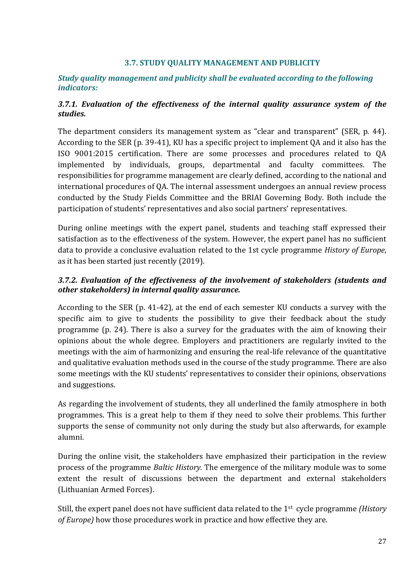#### **3.7. STUDY QUALITY MANAGEMENT AND PUBLICITY**

#### <span id="page-27-0"></span>*Study quality management and publicity shall be evaluated according to the following indicators:*

#### *3.7.1. Evaluation of the effectiveness of the internal quality assurance system of the studies.*

The department considers its management system as "clear and transparent" (SER, p. 44). According to the SER (p. 39-41), KU has a specific project to implement QA and it also has the ISO 9001:2015 certification. There are some processes and procedures related to QA implemented by individuals, groups, departmental and faculty committees. The responsibilities for programme management are clearly defined, according to the national and international procedures of QA. The internal assessment undergoes an annual review process conducted by the Study Fields Committee and the BRIAI Governing Body. Both include the participation of students' representatives and also social partners' representatives.

During online meetings with the expert panel, students and teaching staff expressed their satisfaction as to the effectiveness of the system. However, the expert panel has no sufficient data to provide a conclusive evaluation related to the 1st cycle programme *History of Europe*, as it has been started just recently (2019).

#### *3.7.2. Evaluation of the effectiveness of the involvement of stakeholders (students and other stakeholders) in internal quality assurance.*

According to the SER (p. 41-42), at the end of each semester KU conducts a survey with the specific aim to give to students the possibility to give their feedback about the study programme (p. 24). There is also a survey for the graduates with the aim of knowing their opinions about the whole degree. Employers and practitioners are regularly invited to the meetings with the aim of harmonizing and ensuring the real-life relevance of the quantitative and qualitative evaluation methods used in the course of the study programme. There are also some meetings with the KU students' representatives to consider their opinions, observations and suggestions.

As regarding the involvement of students, they all underlined the family atmosphere in both programmes. This is a great help to them if they need to solve their problems. This further supports the sense of community not only during the study but also afterwards, for example alumni.

During the online visit, the stakeholders have emphasized their participation in the review process of the programme *Baltic History.* The emergence of the military module was to some extent the result of discussions between the department and external stakeholders (Lithuanian Armed Forces).

Still, the expert panel does not have sufficient data related to the 1st cycle programme *(History of Europe)* how those procedures work in practice and how effective they are.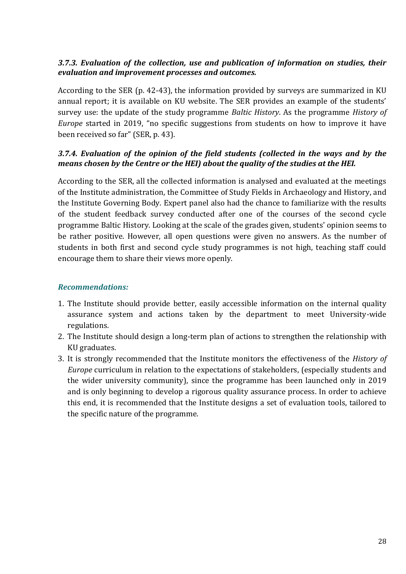#### *3.7.3. Evaluation of the collection, use and publication of information on studies, their evaluation and improvement processes and outcomes.*

According to the SER (p. 42-43), the information provided by surveys are summarized in KU annual report; it is available on KU website. The SER provides an example of the students' survey use: the update of the study programme *Baltic History*. As the programme *History of Europe* started in 2019, "no specific suggestions from students on how to improve it have been received so far" (SER, p. 43).

## *3.7.4. Evaluation of the opinion of the field students (collected in the ways and by the means chosen by the Centre or the HEI) about the quality of the studies at the HEI.*

According to the SER, all the collected information is analysed and evaluated at the meetings of the Institute administration, the Committee of Study Fields in Archaeology and History, and the Institute Governing Body. Expert panel also had the chance to familiarize with the results of the student feedback survey conducted after one of the courses of the second cycle programme Baltic History. Looking at the scale of the grades given, students' opinion seems to be rather positive. However, all open questions were given no answers. As the number of students in both first and second cycle study programmes is not high, teaching staff could encourage them to share their views more openly.

## *Recommendations:*

- 1. The Institute should provide better, easily accessible information on the internal quality assurance system and actions taken by the department to meet University-wide regulations.
- 2. The Institute should design a long-term plan of actions to strengthen the relationship with KU graduates.
- 3. It is strongly recommended that the Institute monitors the effectiveness of the *History of Europe* curriculum in relation to the expectations of stakeholders, (especially students and the wider university community), since the programme has been launched only in 2019 and is only beginning to develop a rigorous quality assurance process. In order to achieve this end, it is recommended that the Institute designs a set of evaluation tools, tailored to the specific nature of the programme.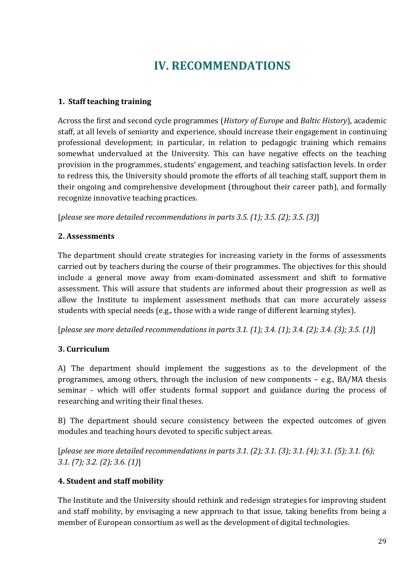# **IV. RECOMMENDATIONS**

## <span id="page-29-0"></span>**1. Staff teaching training**

Across the first and second cycle programmes (*History of Europe* and *Baltic History*), academic staff, at all levels of seniority and experience, should increase their engagement in continuing professional development; in particular, in relation to pedagogic training which remains somewhat undervalued at the University. This can have negative effects on the teaching provision in the programmes, students' engagement, and teaching satisfaction levels. In order to redress this, the University should promote the efforts of all teaching staff, support them in their ongoing and comprehensive development (throughout their career path), and formally recognize innovative teaching practices.

[*please see more detailed recommendations in parts 3.5. (1); 3.5. (2); 3.5. (3)*]

## **2. Assessments**

The department should create strategies for increasing variety in the forms of assessments carried out by teachers during the course of their programmes. The objectives for this should include a general move away from exam-dominated assessment and shift to formative assessment. This will assure that students are informed about their progression as well as allow the Institute to implement assessment methods that can more accurately assess students with special needs (e.g., those with a wide range of different learning styles).

[*please see more detailed recommendations in parts 3.1. (1); 3.4. (1); 3.4. (2); 3.4. (3); 3.5. (1)*]

## **3. Curriculum**

A) The department should implement the suggestions as to the development of the programmes, among others, through the inclusion of new components – e.g., BA/MA thesis seminar - which will offer students formal support and guidance during the process of researching and writing their final theses.

B) The department should secure consistency between the expected outcomes of given modules and teaching hours devoted to specific subject areas.

[*please see more detailed recommendations in parts 3.1. (2); 3.1. (3); 3.1. (4); 3.1. (5); 3.1. (6); 3.1. (7); 3.2. (2); 3.6. (1)*]

## **4. Student and staff mobility**

The Institute and the University should rethink and redesign strategies for improving student and staff mobility, by envisaging a new approach to that issue, taking benefits from being a member of European consortium as well as the development of digital technologies.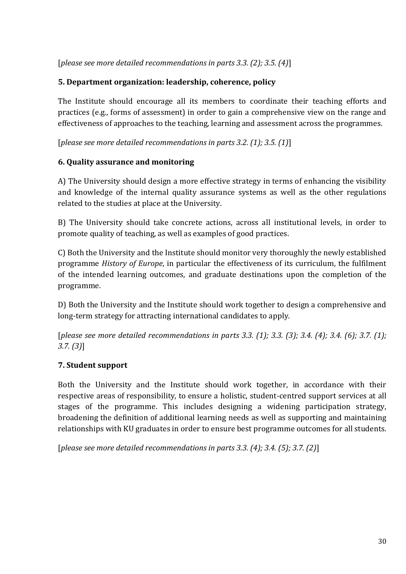[*please see more detailed recommendations in parts 3.3. (2); 3.5. (4)*]

## **5. Department organization: leadership, coherence, policy**

The Institute should encourage all its members to coordinate their teaching efforts and practices (e.g., forms of assessment) in order to gain a comprehensive view on the range and effectiveness of approaches to the teaching, learning and assessment across the programmes.

[*please see more detailed recommendations in parts 3.2. (1); 3.5. (1)*]

## **6. Quality assurance and monitoring**

A) The University should design a more effective strategy in terms of enhancing the visibility and knowledge of the internal quality assurance systems as well as the other regulations related to the studies at place at the University.

B) The University should take concrete actions, across all institutional levels, in order to promote quality of teaching, as well as examples of good practices.

C) Both the University and the Institute should monitor very thoroughly the newly established programme *History of Europe*, in particular the effectiveness of its curriculum, the fulfilment of the intended learning outcomes, and graduate destinations upon the completion of the programme.

D) Both the University and the Institute should work together to design a comprehensive and long-term strategy for attracting international candidates to apply.

[*please see more detailed recommendations in parts 3.3. (1); 3.3. (3); 3.4. (4); 3.4. (6); 3.7. (1); 3.7. (3)*]

## **7. Student support**

Both the University and the Institute should work together, in accordance with their respective areas of responsibility, to ensure a holistic, student-centred support services at all stages of the programme. This includes designing a widening participation strategy, broadening the definition of additional learning needs as well as supporting and maintaining relationships with KU graduates in order to ensure best programme outcomes for all students.

[*please see more detailed recommendations in parts 3.3. (4); 3.4. (5); 3.7. (2)*]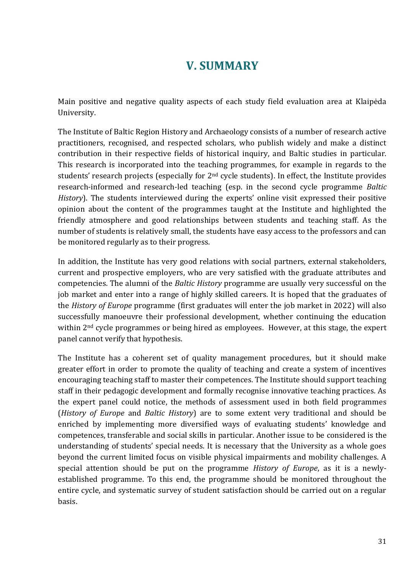## **V. SUMMARY**

Main positive and negative quality aspects of each study field evaluation area at Klaipėda University.

The Institute of Baltic Region History and Archaeology consists of a number of research active practitioners, recognised, and respected scholars, who publish widely and make a distinct contribution in their respective fields of historical inquiry, and Baltic studies in particular. This research is incorporated into the teaching programmes, for example in regards to the students' research projects (especially for 2<sup>nd</sup> cycle students). In effect, the Institute provides research-informed and research-led teaching (esp. in the second cycle programme *Baltic History*). The students interviewed during the experts' online visit expressed their positive opinion about the content of the programmes taught at the Institute and highlighted the friendly atmosphere and good relationships between students and teaching staff. As the number of students is relatively small, the students have easy access to the professors and can be monitored regularly as to their progress.

In addition, the Institute has very good relations with social partners, external stakeholders, current and prospective employers, who are very satisfied with the graduate attributes and competencies. The alumni of the *Baltic History* programme are usually very successful on the job market and enter into a range of highly skilled careers. It is hoped that the graduates of the *History of Europe* programme (first graduates will enter the job market in 2022) will also successfully manoeuvre their professional development, whether continuing the education within 2<sup>nd</sup> cycle programmes or being hired as employees. However, at this stage, the expert panel cannot verify that hypothesis.

The Institute has a coherent set of quality management procedures, but it should make greater effort in order to promote the quality of teaching and create a system of incentives encouraging teaching staff to master their competences. The Institute should support teaching staff in their pedagogic development and formally recognise innovative teaching practices. As the expert panel could notice, the methods of assessment used in both field programmes (*History of Europe* and *Baltic History*) are to some extent very traditional and should be enriched by implementing more diversified ways of evaluating students' knowledge and competences, transferable and social skills in particular. Another issue to be considered is the understanding of students' special needs. It is necessary that the University as a whole goes beyond the current limited focus on visible physical impairments and mobility challenges. A special attention should be put on the programme *History of Europe*, as it is a newlyestablished programme. To this end, the programme should be monitored throughout the entire cycle, and systematic survey of student satisfaction should be carried out on a regular basis.